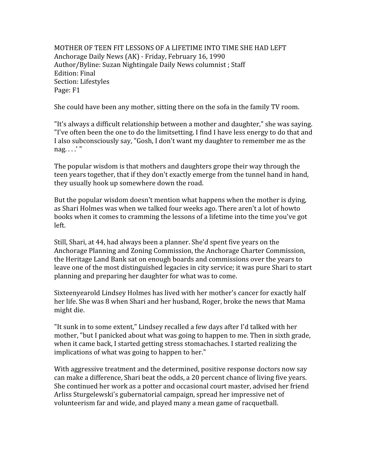MOTHER OF TEEN FIT LESSONS OF A LIFETIME INTO TIME SHE HAD LEFT Anchorage
Daily
News
(AK)
‐
Friday,
February
16,
1990 Author/Byline:
Suzan
Nightingale
Daily
News
columnist
;
Staff Edition:
Final Section:
Lifestyles Page:
F1

She
could
have
been
any
mother,
sitting
there
on
the
sofa
in
the
family
TV
room.

"It's
always
a
difficult
relationship
between
a
mother
and
daughter,"
she
was
saying. "I've often been the one to do the limitsetting. I find I have less energy to do that and I also subconsciously say, "Gosh, I don't want my daughter to remember me as the nag.
.
.
.'
"

The popular wisdom is that mothers and daughters grope their way through the teen
years
together,
that
if
they
don't
exactly
emerge
from
the
tunnel
hand
in
hand, they
usually
hook
up
somewhere
down
the
road.

But the popular wisdom doesn't mention what happens when the mother is dying, as
Shari
Holmes
was
when
we
talked
four
weeks
ago.
There
aren't
a
lot
of
howto books
when
it
comes
to
cramming
the
lessons
of
a
lifetime
into
the
time
you've
got left.

Still,
Shari,
at
44,
had
always
been
a
planner.
She'd
spent
five
years
on
the Anchorage
Planning
and
Zoning
Commission,
the
Anchorage
Charter
Commission, the
Heritage
Land
Bank
sat
on
enough
boards
and
commissions
over
the
years
to leave one of the most distinguished legacies in city service; it was pure Shari to start planning
and
preparing
her
daughter
for
what
was
to
come.

Sixteenyearold
Lindsey
Holmes
has
lived
with
her
mother's
cancer
for
exactly
half her life. She was 8 when Shari and her husband, Roger, broke the news that Mama might
die.

"It sunk in to some extent," Lindsey recalled a few days after I'd talked with her mother,
"but
I
panicked
about
what
was
going
to
happen
to
me.
Then
in
sixth
grade, when it came back, I started getting stress stomachaches. I started realizing the implications
of
what
was
going
to
happen
to
her."

With aggressive treatment and the determined, positive response doctors now say can
make
a
difference,
Shari
beat
the
odds,
a
20
percent
chance
of
living
five
years. She
continued
her
work
as
a
potter
and
occasional
court
master,
advised
her
friend Arliss Sturgelewski's gubernatorial campaign, spread her impressive net of volunteerism far and wide, and played many a mean game of racquetball.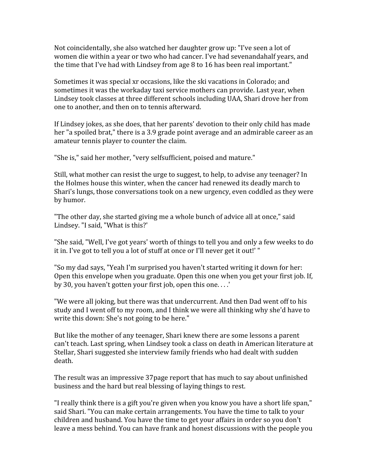Not coincidentally, she also watched her daughter grow up: "I've seen a lot of women die within a year or two who had cancer. I've had sevenandahalf years, and the
time
that
I've
had
with
Lindsey
from
age
8
to
16
has
been
real
important."

Sometimes
it
was
special
xr
occasions,
like
the
ski
vacations
in
Colorado;
and sometimes it was the workaday taxi service mothers can provide. Last year, when Lindsey took classes at three different schools including UAA, Shari drove her from one
to
another,
and
then
on
to
tennis
afterward.

If Lindsey jokes, as she does, that her parents' devotion to their only child has made her "a spoiled brat," there is a 3.9 grade point average and an admirable career as an amateur
tennis
player
to
counter
the
claim.

"She
is,"
said
her
mother,
"very
selfsufficient,
poised
and
mature."

Still, what mother can resist the urge to suggest, to help, to advise any teenager? In the Holmes house this winter, when the cancer had renewed its deadly march to Shari's
lungs,
those
conversations
took
on
a
new
urgency,
even
coddled
as
they
were by
humor.

"The other day, she started giving me a whole bunch of advice all at once," said Lindsey.
"I
said,
"What
is
this?'

"She said, "Well, I've got years' worth of things to tell you and only a few weeks to do it in. I've got to tell you a lot of stuff at once or I'll never get it out!'"

"So
my
dad
says,
"Yeah
I'm
surprised
you
haven't
started
writing
it
down
for
her: Open this envelope when you graduate. Open this one when you get your first job. If, by 30, you haven't gotten your first job, open this one....'

"We were all joking, but there was that undercurrent. And then Dad went off to his study
and
I
went
off
to
my
room,
and
I
think
we
were
all
thinking
why
she'd
have
to write this down: She's not going to be here."

But like the mother of any teenager, Shari knew there are some lessons a parent can't
teach.
Last
spring,
when
Lindsey
took
a
class
on
death
in
American
literature
at Stellar, Shari suggested she interview family friends who had dealt with sudden death.

The
result
was
an
impressive
37page
report
that
has
much
to
say
about
unfinished business and the hard but real blessing of laying things to rest.

"I really think there is a gift you're given when you know you have a short life span," said Shari. "You can make certain arrangements. You have the time to talk to your children and husband. You have the time to get your affairs in order so you don't leave
a
mess
behind.
You
can
have
frank
and
honest
discussions
with
the
people
you